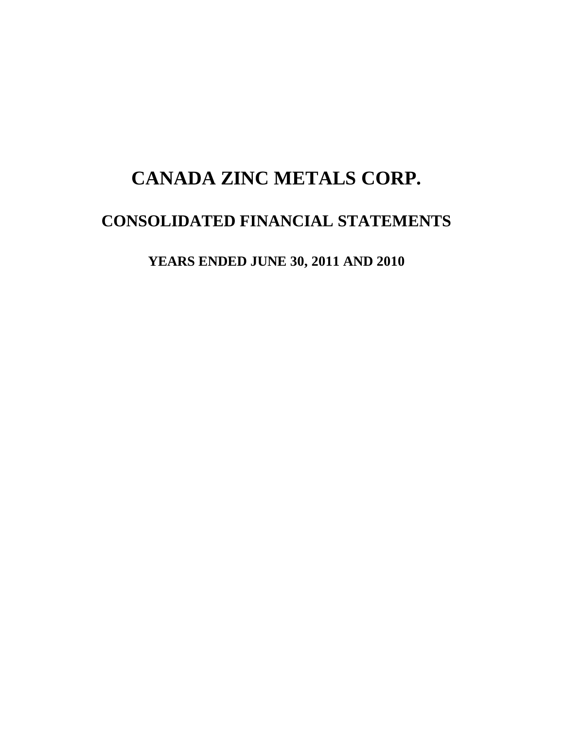## **CONSOLIDATED FINANCIAL STATEMENTS**

**YEARS ENDED JUNE 30, 2011 AND 2010**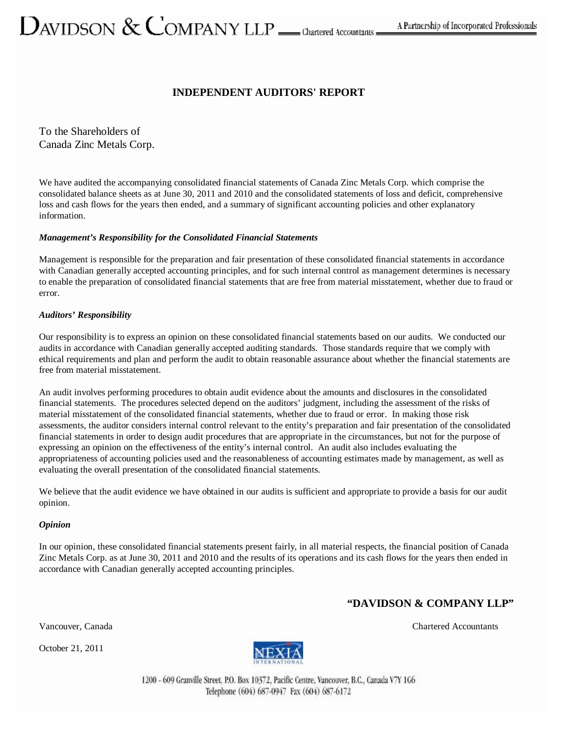# $\mathcal{D}_{\mathrm{AVIDSON}} \ \& \ \mathcal{C}_{\mathrm{OMPANY\ LLP}}$  chartered Accountants =

### **INDEPENDENT AUDITORS' REPORT**

To the Shareholders of Canada Zinc Metals Corp.

We have audited the accompanying consolidated financial statements of Canada Zinc Metals Corp. which comprise the consolidated balance sheets as at June 30, 2011 and 2010 and the consolidated statements of loss and deficit, comprehensive loss and cash flows for the years then ended, and a summary of significant accounting policies and other explanatory information.

#### *Management's Responsibility for the Consolidated Financial Statements*

Management is responsible for the preparation and fair presentation of these consolidated financial statements in accordance with Canadian generally accepted accounting principles, and for such internal control as management determines is necessary to enable the preparation of consolidated financial statements that are free from material misstatement, whether due to fraud or error.

#### *Auditors' Responsibility*

Our responsibility is to express an opinion on these consolidated financial statements based on our audits. We conducted our audits in accordance with Canadian generally accepted auditing standards. Those standards require that we comply with ethical requirements and plan and perform the audit to obtain reasonable assurance about whether the financial statements are free from material misstatement.

An audit involves performing procedures to obtain audit evidence about the amounts and disclosures in the consolidated financial statements. The procedures selected depend on the auditors' judgment, including the assessment of the risks of material misstatement of the consolidated financial statements, whether due to fraud or error. In making those risk assessments, the auditor considers internal control relevant to the entity's preparation and fair presentation of the consolidated financial statements in order to design audit procedures that are appropriate in the circumstances, but not for the purpose of expressing an opinion on the effectiveness of the entity's internal control. An audit also includes evaluating the appropriateness of accounting policies used and the reasonableness of accounting estimates made by management, as well as evaluating the overall presentation of the consolidated financial statements.

We believe that the audit evidence we have obtained in our audits is sufficient and appropriate to provide a basis for our audit opinion.

#### *Opinion*

In our opinion, these consolidated financial statements present fairly, in all material respects, the financial position of Canada Zinc Metals Corp. as at June 30, 2011 and 2010 and the results of its operations and its cash flows for the years then ended in accordance with Canadian generally accepted accounting principles.

### **"DAVIDSON & COMPANY LLP"**

October 21, 2011



Vancouver, Canada Chartered Accountants Chartered Accountants

1200 - 609 Granville Street. P.O. Box 10372, Pacific Centre, Vancouver, B.C., Canada V7Y 1G6 Telephone (604) 687-0947 Fax (604) 687-6172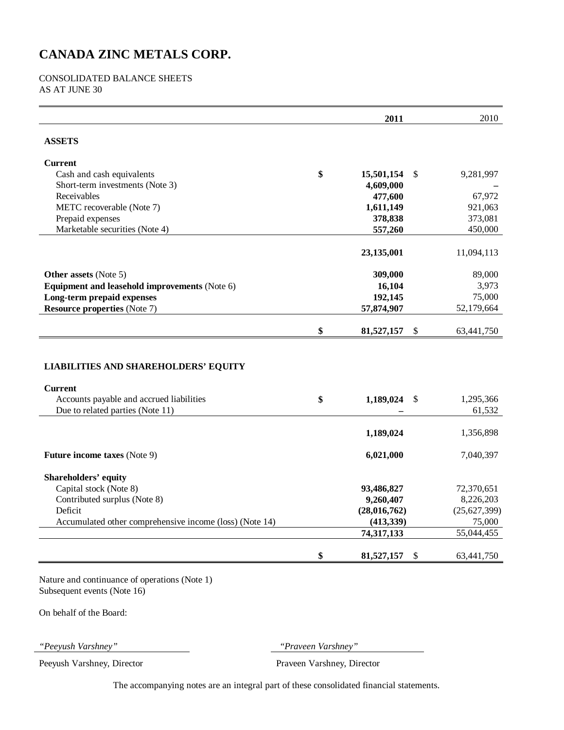CONSOLIDATED BALANCE SHEETS AS AT JUNE 30

|                                                                                                           | 2011             |              | 2010           |
|-----------------------------------------------------------------------------------------------------------|------------------|--------------|----------------|
| <b>ASSETS</b>                                                                                             |                  |              |                |
| <b>Current</b>                                                                                            |                  |              |                |
| Cash and cash equivalents                                                                                 | \$<br>15,501,154 | \$           | 9,281,997      |
| Short-term investments (Note 3)                                                                           | 4,609,000        |              |                |
| Receivables                                                                                               | 477,600          |              | 67,972         |
| METC recoverable (Note 7)                                                                                 | 1,611,149        |              | 921,063        |
| Prepaid expenses                                                                                          | 378,838          |              | 373,081        |
| Marketable securities (Note 4)                                                                            | 557,260          |              | 450,000        |
|                                                                                                           | 23,135,001       |              | 11,094,113     |
| Other assets (Note 5)                                                                                     | 309,000          |              | 89,000         |
| Equipment and leasehold improvements (Note 6)                                                             | 16,104           |              | 3,973          |
| Long-term prepaid expenses                                                                                | 192,145          |              | 75,000         |
|                                                                                                           | 57,874,907       |              | 52,179,664     |
| <b>Resource properties (Note 7)</b>                                                                       |                  |              |                |
|                                                                                                           | \$<br>81,527,157 | $\mathbb{S}$ | 63,441,750     |
| <b>LIABILITIES AND SHAREHOLDERS' EQUITY</b><br><b>Current</b><br>Accounts payable and accrued liabilities | \$<br>1,189,024  | S            | 1,295,366      |
| Due to related parties (Note 11)                                                                          |                  |              | 61,532         |
|                                                                                                           | 1,189,024        |              | 1,356,898      |
| Future income taxes (Note 9)                                                                              | 6,021,000        |              | 7,040,397      |
| <b>Shareholders' equity</b>                                                                               |                  |              |                |
| Capital stock (Note 8)                                                                                    | 93,486,827       |              | 72,370,651     |
| Contributed surplus (Note 8)                                                                              | 9,260,407        |              | 8,226,203      |
| Deficit                                                                                                   | (28,016,762)     |              | (25, 627, 399) |
| Accumulated other comprehensive income (loss) (Note 14)                                                   | (413, 339)       |              | 75,000         |
|                                                                                                           | 74,317,133       |              | 55,044,455     |

Subsequent events (Note 16)

On behalf of the Board:

*"Peeyush Varshney" "Praveen Varshney"* 

Peeyush Varshney, Director Praveen Varshney, Director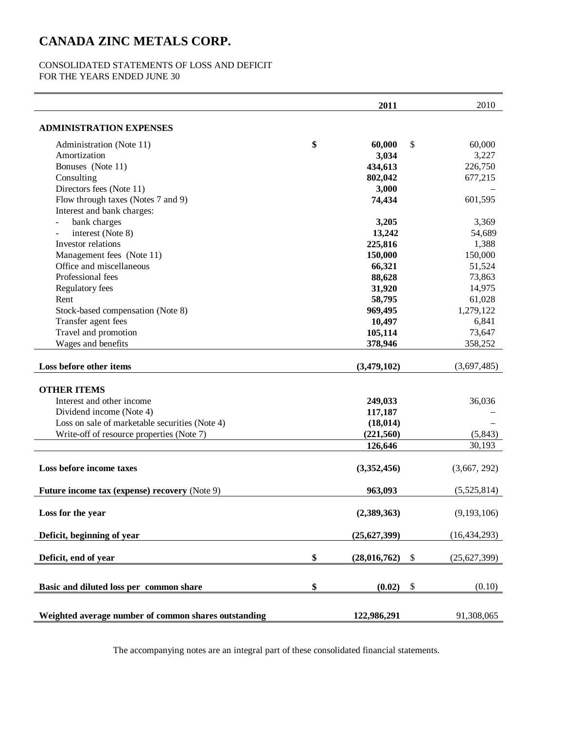CONSOLIDATED STATEMENTS OF LOSS AND DEFICIT FOR THE YEARS ENDED JUNE 30

|                                                      | 2011               | 2010                 |
|------------------------------------------------------|--------------------|----------------------|
|                                                      |                    |                      |
| <b>ADMINISTRATION EXPENSES</b>                       |                    |                      |
| Administration (Note 11)                             | \$<br>60,000       | \$<br>60,000         |
| Amortization                                         | 3,034              | 3,227                |
| Bonuses (Note 11)                                    | 434,613            | 226,750              |
| Consulting                                           | 802,042            | 677,215              |
| Directors fees (Note 11)                             | 3,000              |                      |
| Flow through taxes (Notes 7 and 9)                   | 74,434             | 601,595              |
| Interest and bank charges:                           |                    |                      |
| bank charges                                         | 3,205              | 3,369                |
| interest (Note 8)                                    | 13,242             | 54,689               |
| Investor relations                                   | 225,816            | 1,388                |
| Management fees (Note 11)                            | 150,000            | 150,000              |
| Office and miscellaneous                             | 66,321             | 51,524               |
| Professional fees                                    | 88,628             | 73,863               |
| Regulatory fees                                      | 31,920             | 14,975               |
| Rent                                                 | 58,795             | 61,028               |
| Stock-based compensation (Note 8)                    | 969,495            | 1,279,122            |
| Transfer agent fees                                  | 10,497             | 6,841                |
| Travel and promotion                                 | 105,114            | 73,647               |
| Wages and benefits                                   | 378,946            | 358,252              |
|                                                      |                    |                      |
| Loss before other items                              | (3,479,102)        | (3,697,485)          |
| <b>OTHER ITEMS</b>                                   |                    |                      |
| Interest and other income                            | 249,033            | 36,036               |
| Dividend income (Note 4)                             | 117,187            |                      |
| Loss on sale of marketable securities (Note 4)       | (18, 014)          |                      |
| Write-off of resource properties (Note 7)            | (221, 560)         | (5,843)              |
|                                                      | 126,646            | 30,193               |
|                                                      |                    |                      |
| Loss before income taxes                             | (3,352,456)        | (3,667, 292)         |
|                                                      |                    |                      |
| Future income tax (expense) recovery (Note 9)        | 963,093            | (5,525,814)          |
|                                                      |                    |                      |
| Loss for the year                                    | (2,389,363)        | (9,193,106)          |
| Deficit, beginning of year                           | (25,627,399)       | (16, 434, 293)       |
|                                                      |                    |                      |
| Deficit, end of year                                 | \$<br>(28,016,762) | \$<br>(25, 627, 399) |
|                                                      |                    |                      |
| Basic and diluted loss per common share              | \$<br>(0.02)       | \$<br>(0.10)         |
|                                                      |                    |                      |
| Weighted average number of common shares outstanding | 122,986,291        | 91,308,065           |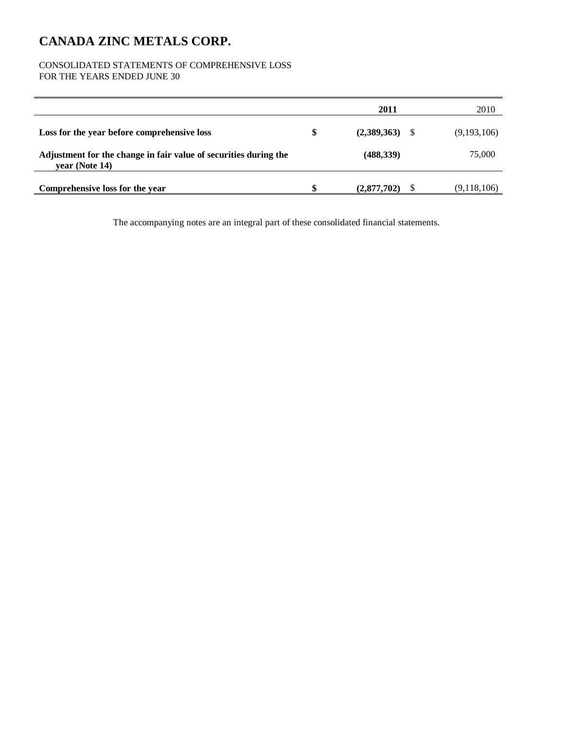#### CONSOLIDATED STATEMENTS OF COMPREHENSIVE LOSS FOR THE YEARS ENDED JUNE 30

|                                                                                    | 2011              |    | 2010        |
|------------------------------------------------------------------------------------|-------------------|----|-------------|
| Loss for the year before comprehensive loss                                        | \$<br>(2,389,363) | -S | (9,193,106) |
| Adjustment for the change in fair value of securities during the<br>year (Note 14) | (488, 339)        |    | 75,000      |
| Comprehensive loss for the year                                                    | \$<br>(2,877,702) |    | (9,118,106) |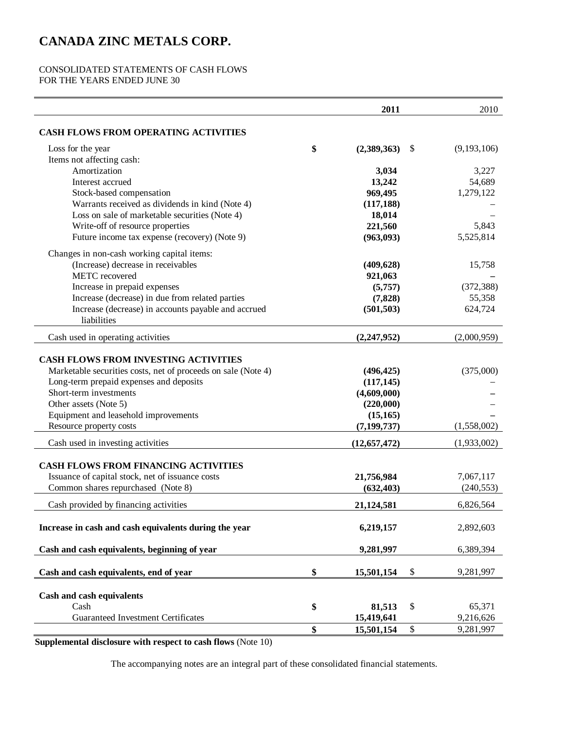#### CONSOLIDATED STATEMENTS OF CASH FLOWS FOR THE YEARS ENDED JUNE 30

|                                                                                                          | 2011              |               | 2010          |
|----------------------------------------------------------------------------------------------------------|-------------------|---------------|---------------|
| <b>CASH FLOWS FROM OPERATING ACTIVITIES</b>                                                              |                   |               |               |
| Loss for the year                                                                                        | \$<br>(2,389,363) | $\mathcal{S}$ | (9, 193, 106) |
| Items not affecting cash:                                                                                |                   |               |               |
| Amortization                                                                                             | 3,034             |               | 3,227         |
| Interest accrued                                                                                         | 13,242            |               | 54,689        |
| Stock-based compensation                                                                                 | 969,495           |               | 1,279,122     |
| Warrants received as dividends in kind (Note 4)                                                          | (117, 188)        |               |               |
| Loss on sale of marketable securities (Note 4)                                                           | 18,014            |               |               |
| Write-off of resource properties                                                                         | 221,560           |               | 5,843         |
| Future income tax expense (recovery) (Note 9)                                                            | (963,093)         |               | 5,525,814     |
| Changes in non-cash working capital items:                                                               |                   |               |               |
| (Increase) decrease in receivables                                                                       | (409, 628)        |               | 15,758        |
| METC recovered                                                                                           | 921,063           |               |               |
| Increase in prepaid expenses                                                                             | (5,757)           |               | (372, 388)    |
| Increase (decrease) in due from related parties                                                          | (7,828)           |               | 55,358        |
| Increase (decrease) in accounts payable and accrued                                                      | (501, 503)        |               | 624,724       |
| liabilities                                                                                              |                   |               |               |
| Cash used in operating activities                                                                        | (2,247,952)       |               | (2,000,959)   |
| <b>CASH FLOWS FROM INVESTING ACTIVITIES</b>                                                              | (496, 425)        |               |               |
| Marketable securities costs, net of proceeds on sale (Note 4)<br>Long-term prepaid expenses and deposits | (117, 145)        |               | (375,000)     |
| Short-term investments                                                                                   | (4,609,000)       |               |               |
| Other assets (Note 5)                                                                                    | (220,000)         |               |               |
| Equipment and leasehold improvements                                                                     | (15, 165)         |               |               |
| Resource property costs                                                                                  | (7, 199, 737)     |               | (1,558,002)   |
| Cash used in investing activities                                                                        | (12, 657, 472)    |               | (1,933,002)   |
|                                                                                                          |                   |               |               |
| <b>CASH FLOWS FROM FINANCING ACTIVITIES</b>                                                              |                   |               |               |
| Issuance of capital stock, net of issuance costs                                                         | 21,756,984        |               | 7,067,117     |
| Common shares repurchased (Note 8)                                                                       | (632, 403)        |               | (240, 553)    |
| Cash provided by financing activities                                                                    | 21,124,581        |               | 6,826,564     |
| Increase in cash and cash equivalents during the year                                                    | 6,219,157         |               | 2,892,603     |
| Cash and cash equivalents, beginning of year                                                             | 9,281,997         |               | 6,389,394     |
| Cash and cash equivalents, end of year                                                                   | \$<br>15,501,154  | \$            | 9,281,997     |
|                                                                                                          |                   |               |               |
| Cash and cash equivalents                                                                                |                   |               |               |
| Cash                                                                                                     | \$<br>81,513      | \$            | 65,371        |
| <b>Guaranteed Investment Certificates</b>                                                                | 15,419,641        |               | 9,216,626     |
|                                                                                                          | \$<br>15,501,154  | \$            | 9,281,997     |

**Supplemental disclosure with respect to cash flows** (Note 10)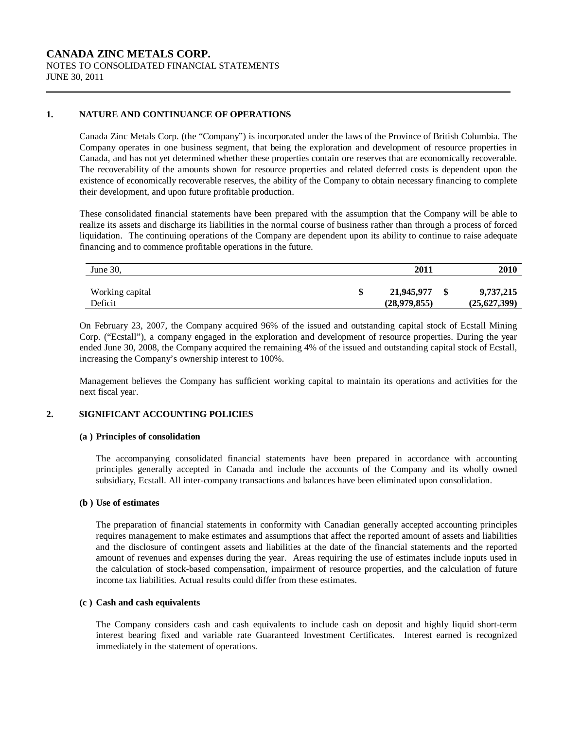### **CANADA ZINC METALS CORP.**  NOTES TO CONSOLIDATED FINANCIAL STATEMENTS

JUNE 30, 2011

#### **1. NATURE AND CONTINUANCE OF OPERATIONS**

Canada Zinc Metals Corp. (the "Company") is incorporated under the laws of the Province of British Columbia. The Company operates in one business segment, that being the exploration and development of resource properties in Canada, and has not yet determined whether these properties contain ore reserves that are economically recoverable. The recoverability of the amounts shown for resource properties and related deferred costs is dependent upon the existence of economically recoverable reserves, the ability of the Company to obtain necessary financing to complete their development, and upon future profitable production.

These consolidated financial statements have been prepared with the assumption that the Company will be able to realize its assets and discharge its liabilities in the normal course of business rather than through a process of forced liquidation. The continuing operations of the Company are dependent upon its ability to continue to raise adequate financing and to commence profitable operations in the future.

| June 30,                   | 2011                       |     | 2010                      |
|----------------------------|----------------------------|-----|---------------------------|
| Working capital<br>Deficit | 21,945,977<br>(28,979,855) | -SS | 9,737,215<br>(25,627,399) |

On February 23, 2007, the Company acquired 96% of the issued and outstanding capital stock of Ecstall Mining Corp. ("Ecstall"), a company engaged in the exploration and development of resource properties. During the year ended June 30, 2008, the Company acquired the remaining 4% of the issued and outstanding capital stock of Ecstall, increasing the Company's ownership interest to 100%.

Management believes the Company has sufficient working capital to maintain its operations and activities for the next fiscal year.

#### **2. SIGNIFICANT ACCOUNTING POLICIES**

#### **(a ) Principles of consolidation**

The accompanying consolidated financial statements have been prepared in accordance with accounting principles generally accepted in Canada and include the accounts of the Company and its wholly owned subsidiary, Ecstall. All inter-company transactions and balances have been eliminated upon consolidation.

#### **(b ) Use of estimates**

The preparation of financial statements in conformity with Canadian generally accepted accounting principles requires management to make estimates and assumptions that affect the reported amount of assets and liabilities and the disclosure of contingent assets and liabilities at the date of the financial statements and the reported amount of revenues and expenses during the year. Areas requiring the use of estimates include inputs used in the calculation of stock-based compensation, impairment of resource properties, and the calculation of future income tax liabilities. Actual results could differ from these estimates.

#### **(c ) Cash and cash equivalents**

The Company considers cash and cash equivalents to include cash on deposit and highly liquid short-term interest bearing fixed and variable rate Guaranteed Investment Certificates. Interest earned is recognized immediately in the statement of operations.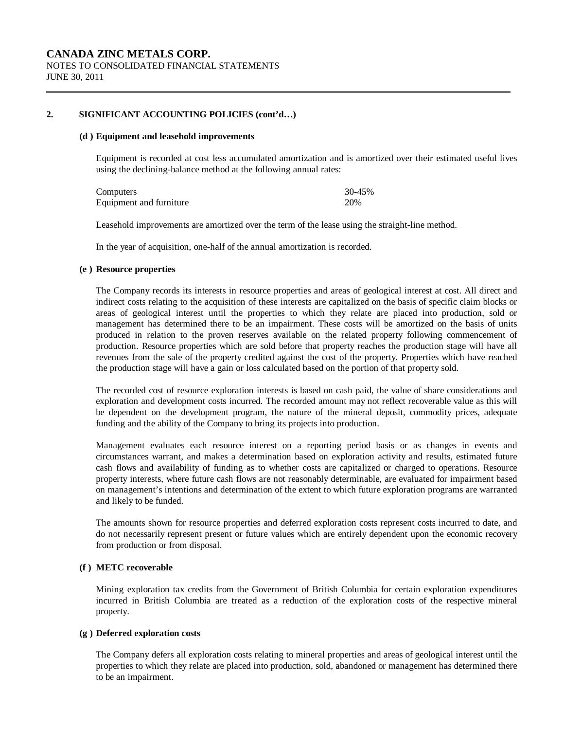NOTES TO CONSOLIDATED FINANCIAL STATEMENTS JUNE 30, 2011

#### **2. SIGNIFICANT ACCOUNTING POLICIES (cont'd…)**

#### **(d ) Equipment and leasehold improvements**

Equipment is recorded at cost less accumulated amortization and is amortized over their estimated useful lives using the declining-balance method at the following annual rates:

| Computers               | 30-45% |
|-------------------------|--------|
| Equipment and furniture | 20%    |

Leasehold improvements are amortized over the term of the lease using the straight-line method.

In the year of acquisition, one-half of the annual amortization is recorded.

#### **(e ) Resource properties**

The Company records its interests in resource properties and areas of geological interest at cost. All direct and indirect costs relating to the acquisition of these interests are capitalized on the basis of specific claim blocks or areas of geological interest until the properties to which they relate are placed into production, sold or management has determined there to be an impairment. These costs will be amortized on the basis of units produced in relation to the proven reserves available on the related property following commencement of production. Resource properties which are sold before that property reaches the production stage will have all revenues from the sale of the property credited against the cost of the property. Properties which have reached the production stage will have a gain or loss calculated based on the portion of that property sold.

The recorded cost of resource exploration interests is based on cash paid, the value of share considerations and exploration and development costs incurred. The recorded amount may not reflect recoverable value as this will be dependent on the development program, the nature of the mineral deposit, commodity prices, adequate funding and the ability of the Company to bring its projects into production.

Management evaluates each resource interest on a reporting period basis or as changes in events and circumstances warrant, and makes a determination based on exploration activity and results, estimated future cash flows and availability of funding as to whether costs are capitalized or charged to operations. Resource property interests, where future cash flows are not reasonably determinable, are evaluated for impairment based on management's intentions and determination of the extent to which future exploration programs are warranted and likely to be funded.

The amounts shown for resource properties and deferred exploration costs represent costs incurred to date, and do not necessarily represent present or future values which are entirely dependent upon the economic recovery from production or from disposal.

#### **(f ) METC recoverable**

Mining exploration tax credits from the Government of British Columbia for certain exploration expenditures incurred in British Columbia are treated as a reduction of the exploration costs of the respective mineral property.

#### **(g ) Deferred exploration costs**

The Company defers all exploration costs relating to mineral properties and areas of geological interest until the properties to which they relate are placed into production, sold, abandoned or management has determined there to be an impairment.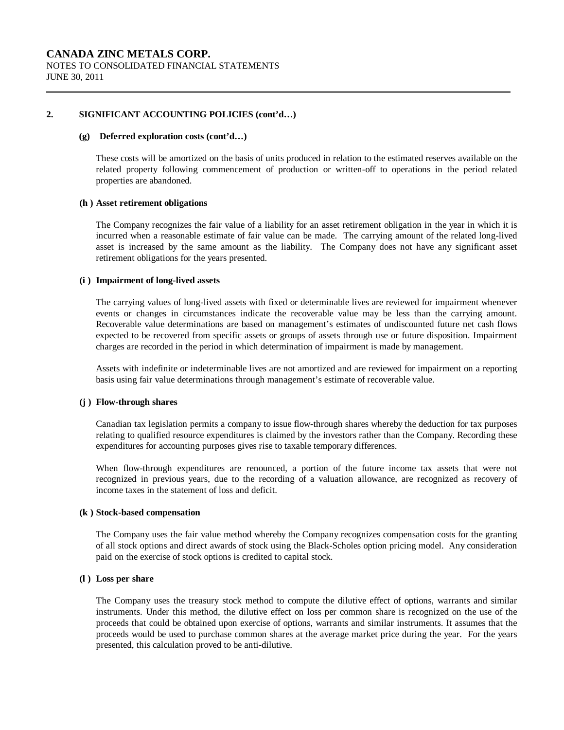NOTES TO CONSOLIDATED FINANCIAL STATEMENTS JUNE 30, 2011

#### **2. SIGNIFICANT ACCOUNTING POLICIES (cont'd…)**

#### **(g) Deferred exploration costs (cont'd…)**

These costs will be amortized on the basis of units produced in relation to the estimated reserves available on the related property following commencement of production or written-off to operations in the period related properties are abandoned.

#### **(h ) Asset retirement obligations**

The Company recognizes the fair value of a liability for an asset retirement obligation in the year in which it is incurred when a reasonable estimate of fair value can be made. The carrying amount of the related long-lived asset is increased by the same amount as the liability. The Company does not have any significant asset retirement obligations for the years presented.

#### **(i ) Impairment of long-lived assets**

The carrying values of long-lived assets with fixed or determinable lives are reviewed for impairment whenever events or changes in circumstances indicate the recoverable value may be less than the carrying amount. Recoverable value determinations are based on management's estimates of undiscounted future net cash flows expected to be recovered from specific assets or groups of assets through use or future disposition. Impairment charges are recorded in the period in which determination of impairment is made by management.

Assets with indefinite or indeterminable lives are not amortized and are reviewed for impairment on a reporting basis using fair value determinations through management's estimate of recoverable value.

#### **(j ) Flow-through shares**

Canadian tax legislation permits a company to issue flow-through shares whereby the deduction for tax purposes relating to qualified resource expenditures is claimed by the investors rather than the Company. Recording these expenditures for accounting purposes gives rise to taxable temporary differences.

When flow-through expenditures are renounced, a portion of the future income tax assets that were not recognized in previous years, due to the recording of a valuation allowance, are recognized as recovery of income taxes in the statement of loss and deficit.

#### **(k ) Stock-based compensation**

The Company uses the fair value method whereby the Company recognizes compensation costs for the granting of all stock options and direct awards of stock using the Black-Scholes option pricing model. Any consideration paid on the exercise of stock options is credited to capital stock.

#### **(l ) Loss per share**

The Company uses the treasury stock method to compute the dilutive effect of options, warrants and similar instruments. Under this method, the dilutive effect on loss per common share is recognized on the use of the proceeds that could be obtained upon exercise of options, warrants and similar instruments. It assumes that the proceeds would be used to purchase common shares at the average market price during the year. For the years presented, this calculation proved to be anti-dilutive.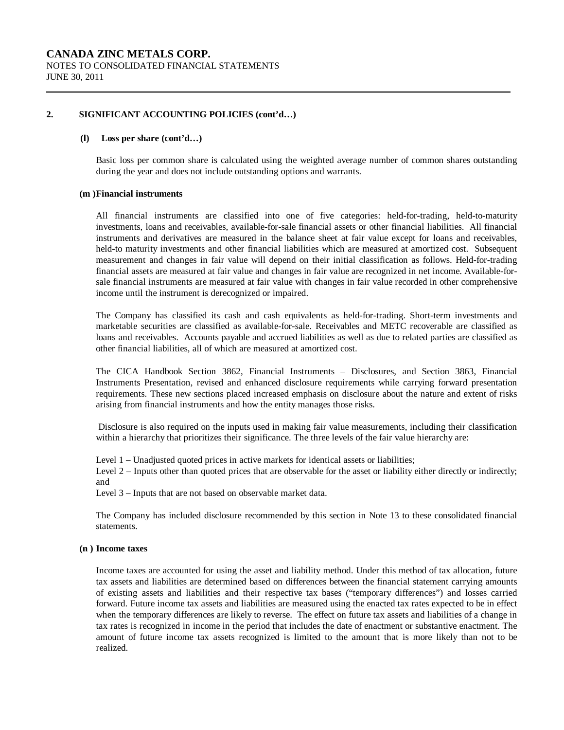#### **2. SIGNIFICANT ACCOUNTING POLICIES (cont'd…)**

#### **(l) Loss per share (cont'd…)**

Basic loss per common share is calculated using the weighted average number of common shares outstanding during the year and does not include outstanding options and warrants.

#### **(m )Financial instruments**

All financial instruments are classified into one of five categories: held-for-trading, held-to-maturity investments, loans and receivables, available-for-sale financial assets or other financial liabilities. All financial instruments and derivatives are measured in the balance sheet at fair value except for loans and receivables, held-to maturity investments and other financial liabilities which are measured at amortized cost. Subsequent measurement and changes in fair value will depend on their initial classification as follows. Held-for-trading financial assets are measured at fair value and changes in fair value are recognized in net income. Available-forsale financial instruments are measured at fair value with changes in fair value recorded in other comprehensive income until the instrument is derecognized or impaired.

The Company has classified its cash and cash equivalents as held-for-trading. Short-term investments and marketable securities are classified as available-for-sale. Receivables and METC recoverable are classified as loans and receivables. Accounts payable and accrued liabilities as well as due to related parties are classified as other financial liabilities, all of which are measured at amortized cost.

The CICA Handbook Section 3862, Financial Instruments – Disclosures, and Section 3863, Financial Instruments Presentation, revised and enhanced disclosure requirements while carrying forward presentation requirements. These new sections placed increased emphasis on disclosure about the nature and extent of risks arising from financial instruments and how the entity manages those risks.

Disclosure is also required on the inputs used in making fair value measurements, including their classification within a hierarchy that prioritizes their significance. The three levels of the fair value hierarchy are:

Level 1 – Unadjusted quoted prices in active markets for identical assets or liabilities;

Level 2 – Inputs other than quoted prices that are observable for the asset or liability either directly or indirectly; and

Level 3 – Inputs that are not based on observable market data.

The Company has included disclosure recommended by this section in Note 13 to these consolidated financial statements.

#### **(n ) Income taxes**

Income taxes are accounted for using the asset and liability method. Under this method of tax allocation, future tax assets and liabilities are determined based on differences between the financial statement carrying amounts of existing assets and liabilities and their respective tax bases ("temporary differences") and losses carried forward. Future income tax assets and liabilities are measured using the enacted tax rates expected to be in effect when the temporary differences are likely to reverse. The effect on future tax assets and liabilities of a change in tax rates is recognized in income in the period that includes the date of enactment or substantive enactment. The amount of future income tax assets recognized is limited to the amount that is more likely than not to be realized.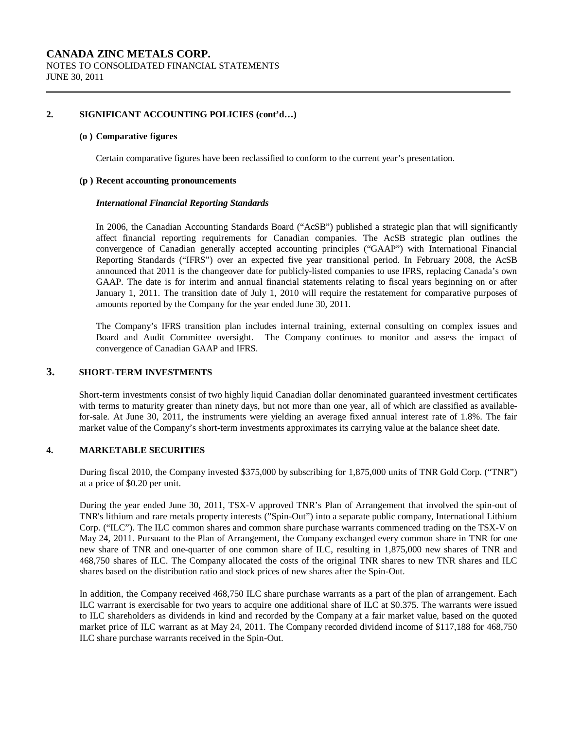#### **2. SIGNIFICANT ACCOUNTING POLICIES (cont'd…)**

#### **(o ) Comparative figures**

Certain comparative figures have been reclassified to conform to the current year's presentation.

#### **(p ) Recent accounting pronouncements**

#### *International Financial Reporting Standards*

In 2006, the Canadian Accounting Standards Board ("AcSB") published a strategic plan that will significantly affect financial reporting requirements for Canadian companies. The AcSB strategic plan outlines the convergence of Canadian generally accepted accounting principles ("GAAP") with International Financial Reporting Standards ("IFRS") over an expected five year transitional period. In February 2008, the AcSB announced that 2011 is the changeover date for publicly-listed companies to use IFRS, replacing Canada's own GAAP. The date is for interim and annual financial statements relating to fiscal years beginning on or after January 1, 2011. The transition date of July 1, 2010 will require the restatement for comparative purposes of amounts reported by the Company for the year ended June 30, 2011.

The Company's IFRS transition plan includes internal training, external consulting on complex issues and Board and Audit Committee oversight. The Company continues to monitor and assess the impact of convergence of Canadian GAAP and IFRS.

#### **3. SHORT-TERM INVESTMENTS**

Short-term investments consist of two highly liquid Canadian dollar denominated guaranteed investment certificates with terms to maturity greater than ninety days, but not more than one year, all of which are classified as availablefor-sale. At June 30, 2011, the instruments were yielding an average fixed annual interest rate of 1.8%. The fair market value of the Company's short-term investments approximates its carrying value at the balance sheet date.

#### **4. MARKETABLE SECURITIES**

During fiscal 2010, the Company invested \$375,000 by subscribing for 1,875,000 units of TNR Gold Corp. ("TNR") at a price of \$0.20 per unit.

During the year ended June 30, 2011, TSX-V approved TNR's Plan of Arrangement that involved the spin-out of TNR's lithium and rare metals property interests ("Spin-Out") into a separate public company, International Lithium Corp. ("ILC"). The ILC common shares and common share purchase warrants commenced trading on the TSX-V on May 24, 2011. Pursuant to the Plan of Arrangement, the Company exchanged every common share in TNR for one new share of TNR and one-quarter of one common share of ILC, resulting in 1,875,000 new shares of TNR and 468,750 shares of ILC. The Company allocated the costs of the original TNR shares to new TNR shares and ILC shares based on the distribution ratio and stock prices of new shares after the Spin-Out.

In addition, the Company received 468,750 ILC share purchase warrants as a part of the plan of arrangement. Each ILC warrant is exercisable for two years to acquire one additional share of ILC at \$0.375. The warrants were issued to ILC shareholders as dividends in kind and recorded by the Company at a fair market value, based on the quoted market price of ILC warrant as at May 24, 2011. The Company recorded dividend income of \$117,188 for 468,750 ILC share purchase warrants received in the Spin-Out.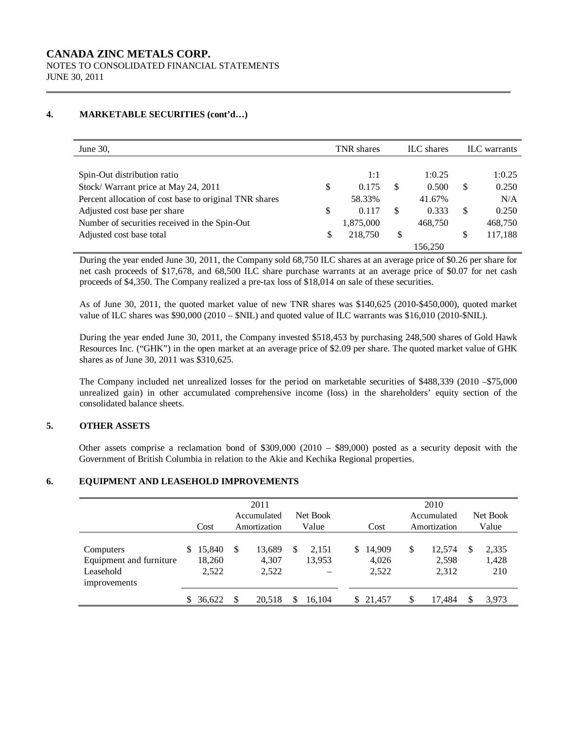NOTES TO CONSOLIDATED FINANCIAL STATEMENTS JUNE 30, 2011

#### **4. MARKETABLE SECURITIES (cont'd…)**

| June 30,                                               |    | <b>TNR</b> shares |     | ILC shares |   | <b>ILC</b> warrants |  |
|--------------------------------------------------------|----|-------------------|-----|------------|---|---------------------|--|
|                                                        |    |                   |     |            |   |                     |  |
| Spin-Out distribution ratio                            |    | 1:1               |     | 1:0.25     |   | 1:0.25              |  |
| Stock/Warrant price at May 24, 2011                    | \$ | 0.175             | S   | 0.500      | S | 0.250               |  |
| Percent allocation of cost base to original TNR shares |    | 58.33%            |     | 41.67%     |   | N/A                 |  |
| Adjusted cost base per share                           | \$ | 0.117             | \$. | 0.333      | S | 0.250               |  |
| Number of securities received in the Spin-Out          |    | 1,875,000         |     | 468,750    |   | 468,750             |  |
| Adjusted cost base total                               | S  | 218,750           | \$  |            | S | 117,188             |  |
|                                                        |    |                   |     | 156,250    |   |                     |  |

During the year ended June 30, 2011, the Company sold 68,750 ILC shares at an average price of \$0.26 per share for net cash proceeds of \$17,678, and 68,500 ILC share purchase warrants at an average price of \$0.07 for net cash proceeds of \$4,350. The Company realized a pre-tax loss of \$18,014 on sale of these securities.

As of June 30, 2011, the quoted market value of new TNR shares was \$140,625 (2010-\$450,000), quoted market value of ILC shares was \$90,000 (2010 – \$NIL) and quoted value of ILC warrants was \$16,010 (2010-\$NIL).

During the year ended June 30, 2011, the Company invested \$518,453 by purchasing 248,500 shares of Gold Hawk Resources Inc. ("GHK") in the open market at an average price of \$2.09 per share. The quoted market value of GHK shares as of June 30, 2011 was \$310,625.

The Company included net unrealized losses for the period on marketable securities of \$488,339 (2010 –\$75,000 unrealized gain) in other accumulated comprehensive income (loss) in the shareholders' equity section of the consolidated balance sheets.

#### **5. OTHER ASSETS**

Other assets comprise a reclamation bond of  $$309,000$   $(2010 - $89,000)$  posted as a security deposit with the Government of British Columbia in relation to the Akie and Kechika Regional properties.

#### **6. EQUIPMENT AND LEASEHOLD IMPROVEMENTS**

|                                                                   |    | Cost                      |    | 2011<br>Accumulated<br>Amortization |     | Net Book<br>Value | Cost                       |     | 2010<br>Accumulated<br>Amortization |    | Net Book<br>Value     |
|-------------------------------------------------------------------|----|---------------------------|----|-------------------------------------|-----|-------------------|----------------------------|-----|-------------------------------------|----|-----------------------|
| Computers<br>Equipment and furniture<br>Leasehold<br>improvements | S. | 15,840<br>18,260<br>2,522 | -S | 13,689<br>4,307<br>2,522            | S   | 2,151<br>13,953   | \$14,909<br>4,026<br>2,522 | \$  | 12,574<br>2,598<br>2,312            | S  | 2,335<br>1,428<br>210 |
|                                                                   | S. | 36.622                    | -S | 20.518                              | \$. | 16.104            | \$ 21,457                  | \$. | 17.484                              | -S | 3.973                 |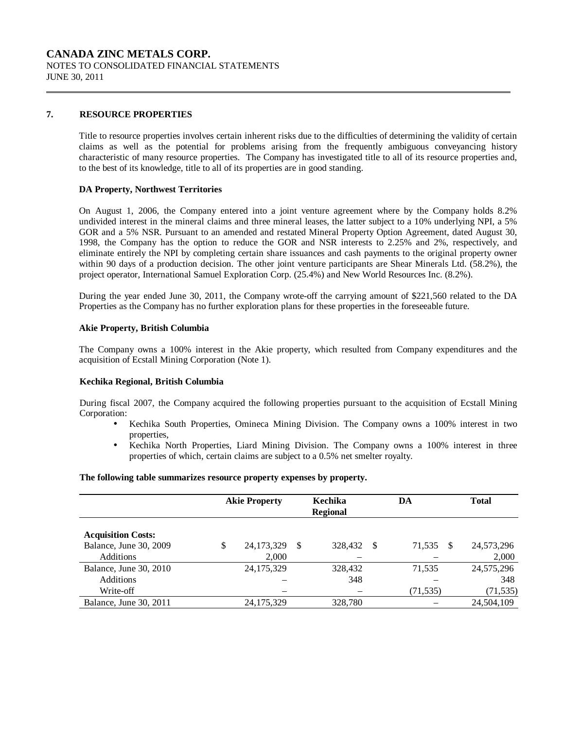#### NOTES TO CONSOLIDATED FINANCIAL STATEMENTS JUNE 30, 2011

#### **7. RESOURCE PROPERTIES**

Title to resource properties involves certain inherent risks due to the difficulties of determining the validity of certain claims as well as the potential for problems arising from the frequently ambiguous conveyancing history characteristic of many resource properties. The Company has investigated title to all of its resource properties and, to the best of its knowledge, title to all of its properties are in good standing.

#### **DA Property, Northwest Territories**

On August 1, 2006, the Company entered into a joint venture agreement where by the Company holds 8.2% undivided interest in the mineral claims and three mineral leases, the latter subject to a 10% underlying NPI, a 5% GOR and a 5% NSR. Pursuant to an amended and restated Mineral Property Option Agreement, dated August 30, 1998, the Company has the option to reduce the GOR and NSR interests to 2.25% and 2%, respectively, and eliminate entirely the NPI by completing certain share issuances and cash payments to the original property owner within 90 days of a production decision. The other joint venture participants are Shear Minerals Ltd. (58.2%), the project operator, International Samuel Exploration Corp. (25.4%) and New World Resources Inc. (8.2%).

During the year ended June 30, 2011, the Company wrote-off the carrying amount of \$221,560 related to the DA Properties as the Company has no further exploration plans for these properties in the foreseeable future.

#### **Akie Property, British Columbia**

The Company owns a 100% interest in the Akie property, which resulted from Company expenditures and the acquisition of Ecstall Mining Corporation (Note 1).

#### **Kechika Regional, British Columbia**

During fiscal 2007, the Company acquired the following properties pursuant to the acquisition of Ecstall Mining Corporation:

- Kechika South Properties, Omineca Mining Division. The Company owns a 100% interest in two properties,
- Kechika North Properties, Liard Mining Division. The Company owns a 100% interest in three properties of which, certain claims are subject to a 0.5% net smelter royalty.

#### **The following table summarizes resource property expenses by property.**

|                                                                         | <b>Akie Property</b> |                       |    | Kechika<br><b>Regional</b> |    | DA        | <b>Total</b>        |
|-------------------------------------------------------------------------|----------------------|-----------------------|----|----------------------------|----|-----------|---------------------|
| <b>Acquisition Costs:</b><br>Balance, June 30, 2009<br><b>Additions</b> | \$                   | 24, 173, 329<br>2,000 | -S | 328,432                    | -S | 71,535    | 24,573,296<br>2,000 |
| Balance, June 30, 2010                                                  |                      | 24, 175, 329          |    | 328,432                    |    | 71,535    | 24,575,296          |
| <b>Additions</b>                                                        |                      |                       |    | 348                        |    |           | 348                 |
| Write-off                                                               |                      |                       |    |                            |    | (71, 535) | (71, 535)           |
| Balance, June 30, 2011                                                  |                      | 24, 175, 329          |    | 328,780                    |    |           | 24,504,109          |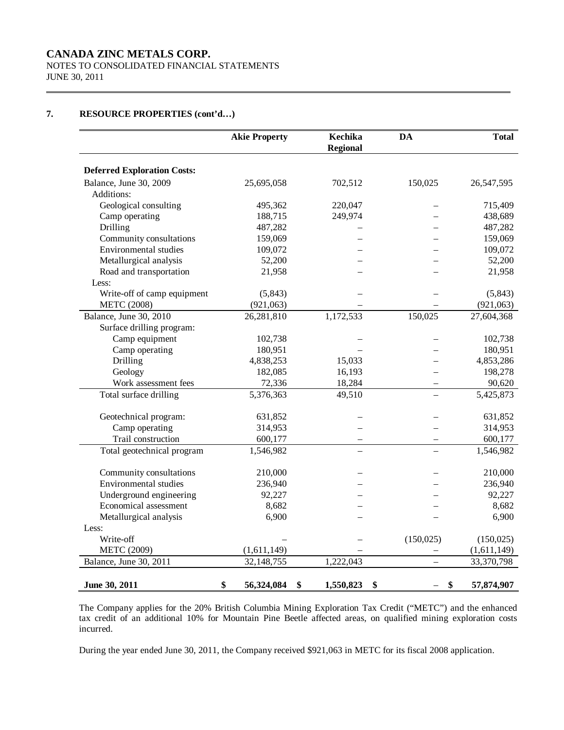NOTES TO CONSOLIDATED FINANCIAL STATEMENTS JUNE 30, 2011

#### **7. RESOURCE PROPERTIES (cont'd…)**

|                                    | <b>Akie Property</b>   | Kechika<br><b>Regional</b> | <b>DA</b>                | <b>Total</b> |
|------------------------------------|------------------------|----------------------------|--------------------------|--------------|
| <b>Deferred Exploration Costs:</b> |                        |                            |                          |              |
| Balance, June 30, 2009             | 25,695,058             | 702,512                    | 150,025                  | 26,547,595   |
| Additions:                         |                        |                            |                          |              |
| Geological consulting              | 495,362                | 220,047                    |                          | 715,409      |
| Camp operating                     | 188,715                | 249,974                    |                          | 438,689      |
| Drilling                           | 487,282                |                            |                          | 487,282      |
| Community consultations            | 159,069                |                            |                          | 159,069      |
| Environmental studies              | 109,072                |                            |                          | 109,072      |
| Metallurgical analysis             | 52,200                 |                            |                          | 52,200       |
| Road and transportation            | 21,958                 |                            |                          | 21,958       |
| Less:                              |                        |                            |                          |              |
| Write-off of camp equipment        | (5,843)                |                            |                          | (5,843)      |
| <b>METC</b> (2008)                 | (921,063)              |                            |                          | (921,063)    |
| Balance, June 30, 2010             | 26,281,810             | 1,172,533                  | 150,025                  | 27,604,368   |
| Surface drilling program:          |                        |                            |                          |              |
| Camp equipment                     | 102,738                |                            |                          | 102,738      |
| Camp operating                     | 180,951                |                            |                          | 180,951      |
| Drilling                           | 4,838,253              | 15,033                     |                          | 4,853,286    |
| Geology                            | 182,085                | 16,193                     |                          | 198,278      |
| Work assessment fees               | 72,336                 | 18,284                     |                          | 90,620       |
| Total surface drilling             | 5,376,363              | 49,510                     |                          | 5,425,873    |
| Geotechnical program:              | 631,852                |                            |                          | 631,852      |
| Camp operating                     | 314,953                |                            |                          | 314,953      |
| Trail construction                 | 600,177                | $\overline{\phantom{0}}$   |                          | 600,177      |
| Total geotechnical program         | 1,546,982              |                            |                          | 1,546,982    |
| Community consultations            | 210,000                |                            |                          | 210,000      |
| Environmental studies              | 236,940                |                            |                          | 236,940      |
| Underground engineering            | 92,227                 |                            |                          | 92,227       |
| Economical assessment              | 8,682                  |                            |                          | 8,682        |
| Metallurgical analysis             | 6,900                  |                            |                          | 6,900        |
| Less:                              |                        |                            |                          |              |
| Write-off                          |                        |                            | (150, 025)               | (150, 025)   |
| <b>METC (2009)</b>                 | (1,611,149)            |                            |                          | (1,611,149)  |
| Balance, June 30, 2011             | 32,148,755             | 1,222,043                  | $\overline{\phantom{0}}$ | 33,370,798   |
| June 30, 2011                      | \$<br>56,324,084<br>\$ | 1,550,823<br>\$            | \$                       | 57,874,907   |

The Company applies for the 20% British Columbia Mining Exploration Tax Credit ("METC") and the enhanced tax credit of an additional 10% for Mountain Pine Beetle affected areas, on qualified mining exploration costs incurred.

During the year ended June 30, 2011, the Company received \$921,063 in METC for its fiscal 2008 application.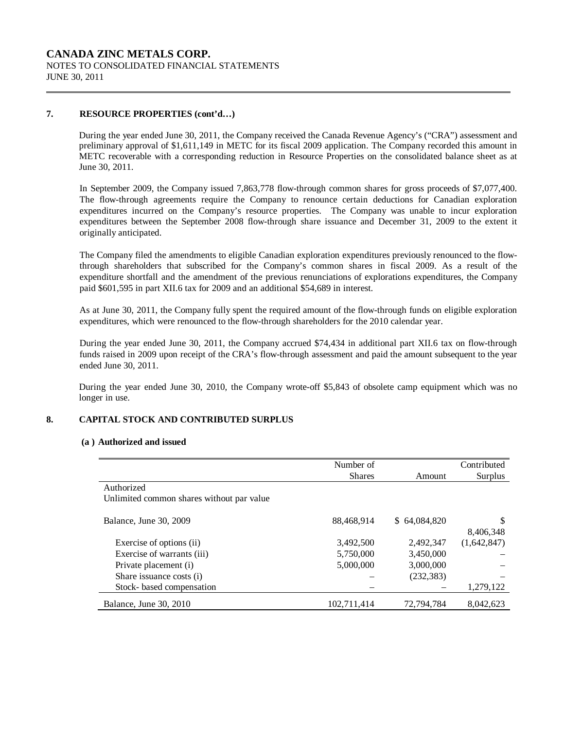#### NOTES TO CONSOLIDATED FINANCIAL STATEMENTS JUNE 30, 2011

#### **7. RESOURCE PROPERTIES (cont'd…)**

During the year ended June 30, 2011, the Company received the Canada Revenue Agency's ("CRA") assessment and preliminary approval of \$1,611,149 in METC for its fiscal 2009 application. The Company recorded this amount in METC recoverable with a corresponding reduction in Resource Properties on the consolidated balance sheet as at June 30, 2011.

In September 2009, the Company issued 7,863,778 flow-through common shares for gross proceeds of \$7,077,400. The flow-through agreements require the Company to renounce certain deductions for Canadian exploration expenditures incurred on the Company's resource properties. The Company was unable to incur exploration expenditures between the September 2008 flow-through share issuance and December 31, 2009 to the extent it originally anticipated.

The Company filed the amendments to eligible Canadian exploration expenditures previously renounced to the flowthrough shareholders that subscribed for the Company's common shares in fiscal 2009. As a result of the expenditure shortfall and the amendment of the previous renunciations of explorations expenditures, the Company paid \$601,595 in part XII.6 tax for 2009 and an additional \$54,689 in interest.

As at June 30, 2011, the Company fully spent the required amount of the flow-through funds on eligible exploration expenditures, which were renounced to the flow-through shareholders for the 2010 calendar year.

During the year ended June 30, 2011, the Company accrued \$74,434 in additional part XII.6 tax on flow-through funds raised in 2009 upon receipt of the CRA's flow-through assessment and paid the amount subsequent to the year ended June 30, 2011.

During the year ended June 30, 2010, the Company wrote-off \$5,843 of obsolete camp equipment which was no longer in use.

#### **8. CAPITAL STOCK AND CONTRIBUTED SURPLUS**

#### **(a ) Authorized and issued**

|                                           | Number of<br><b>Shares</b> | Amount       | Contributed<br>Surplus |
|-------------------------------------------|----------------------------|--------------|------------------------|
| Authorized                                |                            |              |                        |
| Unlimited common shares without par value |                            |              |                        |
|                                           |                            |              |                        |
| Balance, June 30, 2009                    | 88,468,914                 | \$64,084,820 | \$                     |
|                                           |                            |              | 8,406,348              |
| Exercise of options (ii)                  | 3,492,500                  | 2,492,347    | (1,642,847)            |
| Exercise of warrants (iii)                | 5,750,000                  | 3,450,000    |                        |
| Private placement (i)                     | 5,000,000                  | 3,000,000    |                        |
| Share issuance costs (i)                  |                            | (232, 383)   |                        |
| Stock-based compensation                  |                            |              | 1,279,122              |
| Balance, June 30, 2010                    | 102.711.414                | 72.794.784   | 8.042.623              |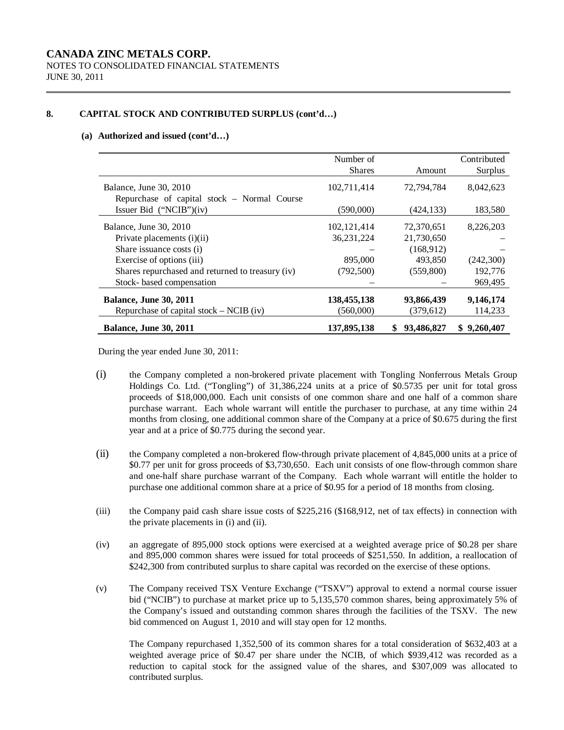NOTES TO CONSOLIDATED FINANCIAL STATEMENTS JUNE 30, 2011

#### **8. CAPITAL STOCK AND CONTRIBUTED SURPLUS (cont'd…)**

#### **(a) Authorized and issued (cont'd…)**

|                                                                           | Number of<br><b>Shares</b> | Amount          | Contributed<br>Surplus |
|---------------------------------------------------------------------------|----------------------------|-----------------|------------------------|
| Balance, June 30, 2010                                                    | 102,711,414                | 72,794,784      | 8,042,623              |
| Repurchase of capital stock – Normal Course<br>Issuer Bid $("NCIB")$ (iv) | (590,000)                  | (424,133)       | 183,580                |
| Balance, June 30, 2010                                                    | 102, 121, 414              | 72,370,651      | 8,226,203              |
| Private placements (i)(ii)                                                | 36, 231, 224               | 21,730,650      |                        |
| Share issuance costs (i)                                                  |                            | (168, 912)      |                        |
| Exercise of options (iii)                                                 | 895,000                    | 493,850         | (242,300)              |
| Shares repurchased and returned to treasury (iv)                          | (792, 500)                 | (559,800)       | 192,776                |
| Stock-based compensation                                                  |                            |                 | 969,495                |
| <b>Balance, June 30, 2011</b>                                             | 138,455,138                | 93,866,439      | 9,146,174              |
| Repurchase of capital stock $-$ NCIB (iv)                                 | (560,000)                  | (379, 612)      | 114,233                |
| <b>Balance, June 30, 2011</b>                                             | 137,895,138                | 93,486,827<br>S | \$9,260,407            |

During the year ended June 30, 2011:

- (i) the Company completed a non-brokered private placement with Tongling Nonferrous Metals Group Holdings Co. Ltd. ("Tongling") of 31,386,224 units at a price of \$0.5735 per unit for total gross proceeds of \$18,000,000. Each unit consists of one common share and one half of a common share purchase warrant. Each whole warrant will entitle the purchaser to purchase, at any time within 24 months from closing, one additional common share of the Company at a price of \$0.675 during the first year and at a price of \$0.775 during the second year.
- (ii) the Company completed a non-brokered flow-through private placement of 4,845,000 units at a price of \$0.77 per unit for gross proceeds of \$3,730,650. Each unit consists of one flow-through common share and one-half share purchase warrant of the Company. Each whole warrant will entitle the holder to purchase one additional common share at a price of \$0.95 for a period of 18 months from closing.
- (iii) the Company paid cash share issue costs of \$225,216 (\$168,912, net of tax effects) in connection with the private placements in (i) and (ii).
- (iv) an aggregate of 895,000 stock options were exercised at a weighted average price of \$0.28 per share and 895,000 common shares were issued for total proceeds of \$251,550. In addition, a reallocation of \$242,300 from contributed surplus to share capital was recorded on the exercise of these options.
- (v) The Company received TSX Venture Exchange ("TSXV") approval to extend a normal course issuer bid ("NCIB") to purchase at market price up to 5,135,570 common shares, being approximately 5% of the Company's issued and outstanding common shares through the facilities of the TSXV. The new bid commenced on August 1, 2010 and will stay open for 12 months.

The Company repurchased 1,352,500 of its common shares for a total consideration of \$632,403 at a weighted average price of \$0.47 per share under the NCIB, of which \$939,412 was recorded as a reduction to capital stock for the assigned value of the shares, and \$307,009 was allocated to contributed surplus.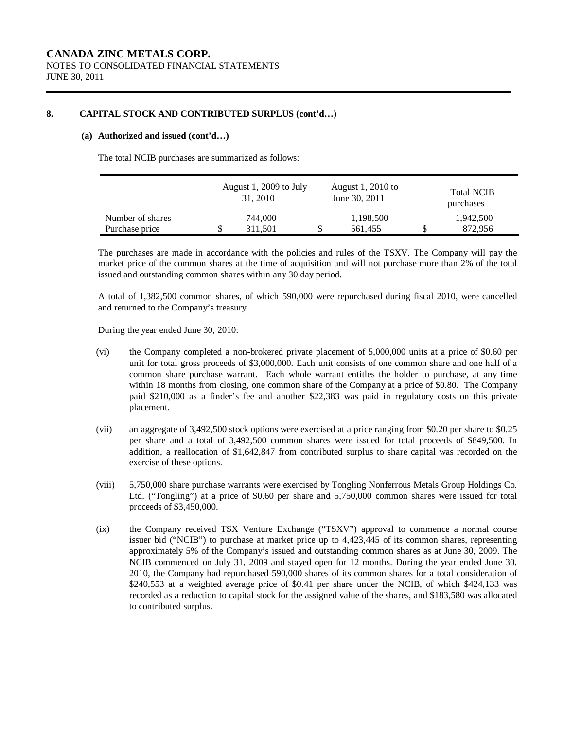#### **8. CAPITAL STOCK AND CONTRIBUTED SURPLUS (cont'd…)**

#### **(a) Authorized and issued (cont'd…)**

The total NCIB purchases are summarized as follows:

|                  | August 1, 2009 to July<br>August 1, 2010 to<br>31, 2010<br>June 30, 2011 |         | <b>Total NCIB</b><br>purchases |           |
|------------------|--------------------------------------------------------------------------|---------|--------------------------------|-----------|
| Number of shares |                                                                          | 744,000 | 1,198,500                      | 1,942,500 |
| Purchase price   |                                                                          | 311.501 | 561.455                        | 872.956   |

The purchases are made in accordance with the policies and rules of the TSXV. The Company will pay the market price of the common shares at the time of acquisition and will not purchase more than 2% of the total issued and outstanding common shares within any 30 day period.

A total of 1,382,500 common shares, of which 590,000 were repurchased during fiscal 2010, were cancelled and returned to the Company's treasury.

During the year ended June 30, 2010:

- (vi) the Company completed a non-brokered private placement of 5,000,000 units at a price of \$0.60 per unit for total gross proceeds of \$3,000,000. Each unit consists of one common share and one half of a common share purchase warrant. Each whole warrant entitles the holder to purchase, at any time within 18 months from closing, one common share of the Company at a price of \$0.80. The Company paid \$210,000 as a finder's fee and another \$22,383 was paid in regulatory costs on this private placement.
- (vii) an aggregate of 3,492,500 stock options were exercised at a price ranging from \$0.20 per share to \$0.25 per share and a total of 3,492,500 common shares were issued for total proceeds of \$849,500. In addition, a reallocation of \$1,642,847 from contributed surplus to share capital was recorded on the exercise of these options.
- (viii) 5,750,000 share purchase warrants were exercised by Tongling Nonferrous Metals Group Holdings Co. Ltd. ("Tongling") at a price of \$0.60 per share and 5,750,000 common shares were issued for total proceeds of \$3,450,000.
- (ix) the Company received TSX Venture Exchange ("TSXV") approval to commence a normal course issuer bid ("NCIB") to purchase at market price up to 4,423,445 of its common shares, representing approximately 5% of the Company's issued and outstanding common shares as at June 30, 2009. The NCIB commenced on July 31, 2009 and stayed open for 12 months. During the year ended June 30, 2010, the Company had repurchased 590,000 shares of its common shares for a total consideration of \$240,553 at a weighted average price of \$0.41 per share under the NCIB, of which \$424,133 was recorded as a reduction to capital stock for the assigned value of the shares, and \$183,580 was allocated to contributed surplus.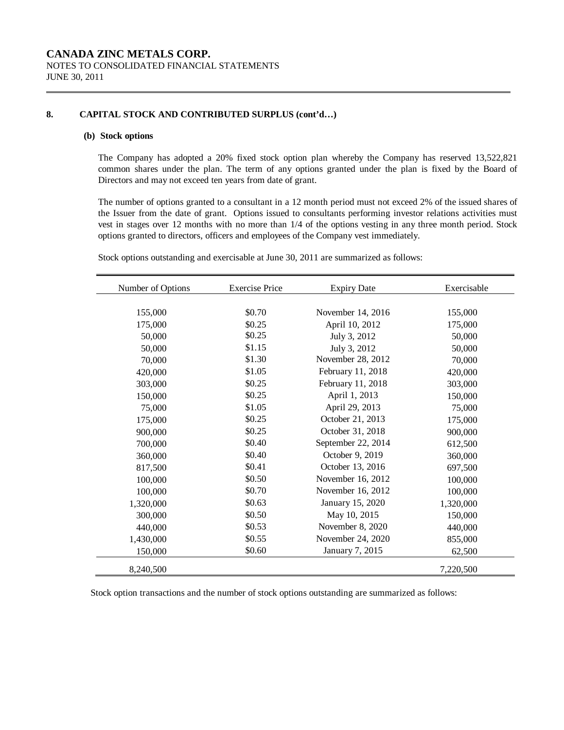#### **8. CAPITAL STOCK AND CONTRIBUTED SURPLUS (cont'd…)**

#### **(b) Stock options**

The Company has adopted a 20% fixed stock option plan whereby the Company has reserved 13,522,821 common shares under the plan. The term of any options granted under the plan is fixed by the Board of Directors and may not exceed ten years from date of grant.

The number of options granted to a consultant in a 12 month period must not exceed 2% of the issued shares of the Issuer from the date of grant. Options issued to consultants performing investor relations activities must vest in stages over 12 months with no more than 1/4 of the options vesting in any three month period. Stock options granted to directors, officers and employees of the Company vest immediately.

Stock options outstanding and exercisable at June 30, 2011 are summarized as follows:

| Number of Options | <b>Exercise Price</b> | <b>Expiry Date</b> | Exercisable |
|-------------------|-----------------------|--------------------|-------------|
|                   |                       |                    |             |
| 155,000           | \$0.70                | November 14, 2016  | 155,000     |
| 175,000           | \$0.25                | April 10, 2012     | 175,000     |
| 50,000            | \$0.25                | July 3, 2012       | 50,000      |
| 50,000            | \$1.15                | July 3, 2012       | 50,000      |
| 70,000            | \$1.30                | November 28, 2012  | 70,000      |
| 420,000           | \$1.05                | February 11, 2018  | 420,000     |
| 303,000           | \$0.25                | February 11, 2018  | 303,000     |
| 150,000           | \$0.25                | April 1, 2013      | 150,000     |
| 75,000            | \$1.05                | April 29, 2013     | 75,000      |
| 175,000           | \$0.25                | October 21, 2013   | 175,000     |
| 900,000           | \$0.25                | October 31, 2018   | 900,000     |
| 700,000           | \$0.40                | September 22, 2014 | 612,500     |
| 360,000           | \$0.40                | October 9, 2019    | 360,000     |
| 817,500           | \$0.41                | October 13, 2016   | 697,500     |
| 100,000           | \$0.50                | November 16, 2012  | 100,000     |
| 100,000           | \$0.70                | November 16, 2012  | 100,000     |
| 1,320,000         | \$0.63                | January 15, 2020   | 1,320,000   |
| 300,000           | \$0.50                | May 10, 2015       | 150,000     |
| 440,000           | \$0.53                | November 8, 2020   | 440,000     |
| 1,430,000         | \$0.55                | November 24, 2020  | 855,000     |
| 150,000           | \$0.60                | January 7, 2015    | 62,500      |
| 8,240,500         |                       |                    | 7,220,500   |

Stock option transactions and the number of stock options outstanding are summarized as follows: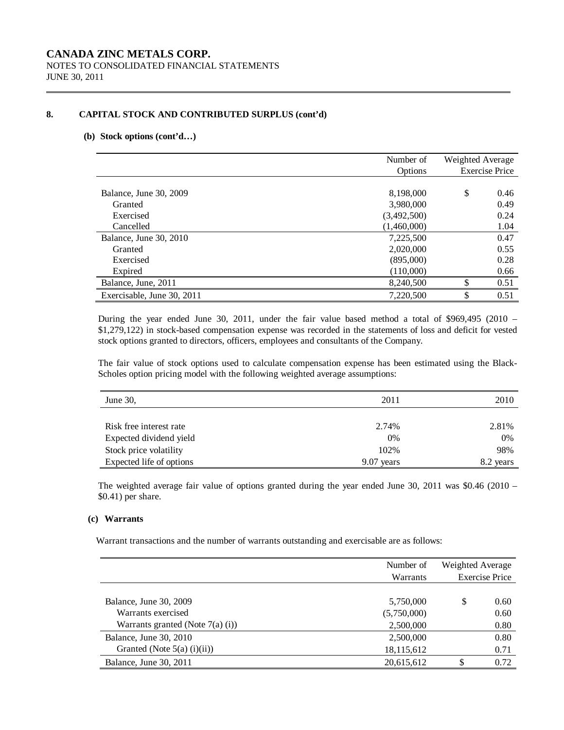#### **8. CAPITAL STOCK AND CONTRIBUTED SURPLUS (cont'd)**

#### **(b) Stock options (cont'd…)**

|                            | Number of   | Weighted Average |                       |
|----------------------------|-------------|------------------|-----------------------|
|                            | Options     |                  | <b>Exercise Price</b> |
|                            |             |                  |                       |
| Balance, June 30, 2009     | 8,198,000   | \$               | 0.46                  |
| Granted                    | 3,980,000   |                  | 0.49                  |
| Exercised                  | (3,492,500) |                  | 0.24                  |
| Cancelled                  | (1,460,000) |                  | 1.04                  |
| Balance, June 30, 2010     | 7,225,500   |                  | 0.47                  |
| Granted                    | 2,020,000   |                  | 0.55                  |
| Exercised                  | (895,000)   |                  | 0.28                  |
| Expired                    | (110,000)   |                  | 0.66                  |
| Balance, June, 2011        | 8,240,500   | \$               | 0.51                  |
| Exercisable, June 30, 2011 | 7,220,500   | \$               | 0.51                  |

During the year ended June 30, 2011, under the fair value based method a total of \$969,495 (2010 – \$1,279,122) in stock-based compensation expense was recorded in the statements of loss and deficit for vested stock options granted to directors, officers, employees and consultants of the Company.

The fair value of stock options used to calculate compensation expense has been estimated using the Black-Scholes option pricing model with the following weighted average assumptions:

| June 30,                 | 2011          | 2010      |
|--------------------------|---------------|-----------|
|                          |               |           |
| Risk free interest rate  | 2.74%         | 2.81%     |
| Expected dividend yield  | 0%            | 0%        |
| Stock price volatility   | 102%          | 98%       |
| Expected life of options | 9.07<br>years | 8.2 years |

The weighted average fair value of options granted during the year ended June 30, 2011 was \$0.46 (2010 – \$0.41) per share.

#### **(c) Warrants**

Warrant transactions and the number of warrants outstanding and exercisable are as follows:

|                                    | Number of   | Weighted Average |                       |
|------------------------------------|-------------|------------------|-----------------------|
|                                    | Warrants    |                  | <b>Exercise Price</b> |
|                                    |             |                  |                       |
| Balance, June 30, 2009             | 5,750,000   | \$               | 0.60                  |
| Warrants exercised                 | (5,750,000) |                  | 0.60                  |
| Warrants granted (Note $7(a)$ (i)) | 2,500,000   |                  | 0.80                  |
| Balance, June 30, 2010             | 2,500,000   |                  | 0.80                  |
| Granted (Note $5(a)$ (i)(ii))      | 18,115,612  |                  | 0.71                  |
| Balance, June 30, 2011             | 20,615,612  |                  | 0.72                  |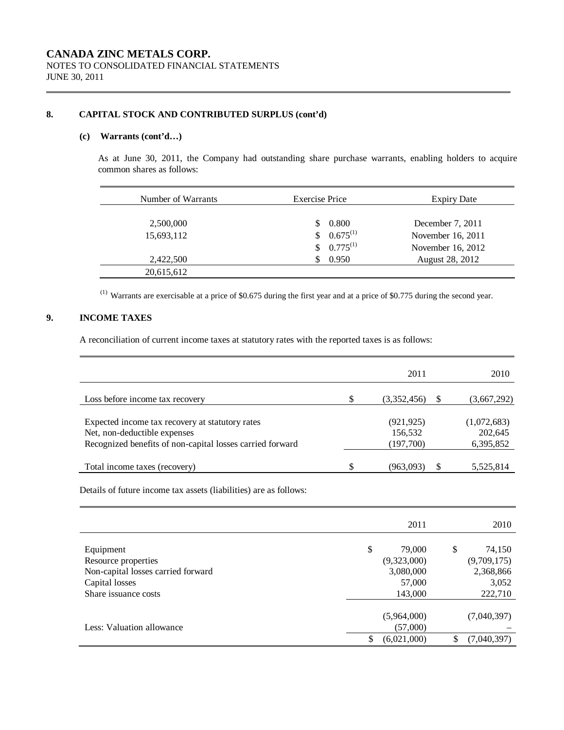#### **8. CAPITAL STOCK AND CONTRIBUTED SURPLUS (cont'd)**

#### **(c) Warrants (cont'd…)**

As at June 30, 2011, the Company had outstanding share purchase warrants, enabling holders to acquire common shares as follows:

| Number of Warrants | Exercise Price  | <b>Expiry Date</b> |
|--------------------|-----------------|--------------------|
|                    |                 |                    |
| 2,500,000          | 0.800           | December 7, 2011   |
| 15,693,112         | $0.675^{(1)}$   | November 16, 2011  |
|                    | $$0.775^{(1)}$$ | November 16, 2012  |
| 2,422,500          | 0.950           | August 28, 2012    |
| 20,615,612         |                 |                    |

 $^{(1)}$  Warrants are exercisable at a price of \$0.675 during the first year and at a price of \$0.775 during the second year.

#### **9. INCOME TAXES**

A reconciliation of current income taxes at statutory rates with the reported taxes is as follows:

|                                                                                                                                              | 2011                               | 2010                                |
|----------------------------------------------------------------------------------------------------------------------------------------------|------------------------------------|-------------------------------------|
| Loss before income tax recovery                                                                                                              | \$<br>(3,352,456)<br>S             | (3,667,292)                         |
| Expected income tax recovery at statutory rates<br>Net, non-deductible expenses<br>Recognized benefits of non-capital losses carried forward | (921, 925)<br>156,532<br>(197,700) | (1,072,683)<br>202,645<br>6,395,852 |
| Total income taxes (recovery)                                                                                                                | (963,093)                          | 5,525,814                           |

Details of future income tax assets (liabilities) are as follows:

|                                    | 2011              | 2010              |
|------------------------------------|-------------------|-------------------|
| Equipment                          | \$<br>79,000      | \$<br>74,150      |
| Resource properties                | (9,323,000)       | (9,709,175)       |
| Non-capital losses carried forward | 3,080,000         | 2,368,866         |
| Capital losses                     | 57,000            | 3,052             |
| Share issuance costs               | 143,000           | 222,710           |
|                                    |                   |                   |
|                                    | (5,964,000)       | (7,040,397)       |
| Less: Valuation allowance          | (57,000)          |                   |
|                                    | \$<br>(6,021,000) | \$<br>(7,040,397) |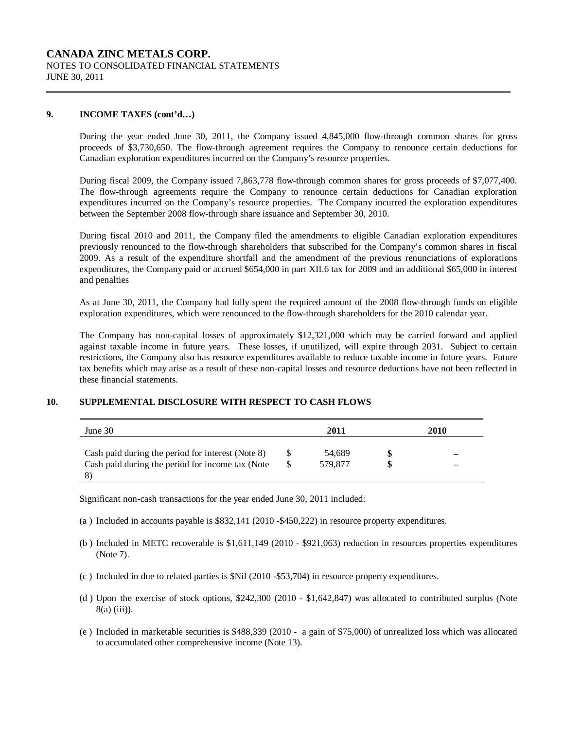### **CANADA ZINC METALS CORP.**  NOTES TO CONSOLIDATED FINANCIAL STATEMENTS

JUNE 30, 2011

#### **9. INCOME TAXES (cont'd…)**

During the year ended June 30, 2011, the Company issued 4,845,000 flow-through common shares for gross proceeds of \$3,730,650. The flow-through agreement requires the Company to renounce certain deductions for Canadian exploration expenditures incurred on the Company's resource properties.

During fiscal 2009, the Company issued 7,863,778 flow-through common shares for gross proceeds of \$7,077,400. The flow-through agreements require the Company to renounce certain deductions for Canadian exploration expenditures incurred on the Company's resource properties. The Company incurred the exploration expenditures between the September 2008 flow-through share issuance and September 30, 2010.

During fiscal 2010 and 2011, the Company filed the amendments to eligible Canadian exploration expenditures previously renounced to the flow-through shareholders that subscribed for the Company's common shares in fiscal 2009. As a result of the expenditure shortfall and the amendment of the previous renunciations of explorations expenditures, the Company paid or accrued \$654,000 in part XII.6 tax for 2009 and an additional \$65,000 in interest and penalties

As at June 30, 2011, the Company had fully spent the required amount of the 2008 flow-through funds on eligible exploration expenditures, which were renounced to the flow-through shareholders for the 2010 calendar year.

The Company has non-capital losses of approximately \$12,321,000 which may be carried forward and applied against taxable income in future years. These losses, if unutilized, will expire through 2031. Subject to certain restrictions, the Company also has resource expenditures available to reduce taxable income in future years. Future tax benefits which may arise as a result of these non-capital losses and resource deductions have not been reflected in these financial statements.

#### **10. SUPPLEMENTAL DISCLOSURE WITH RESPECT TO CASH FLOWS**

| June 30                                                                                                | 2011              | 2010 |
|--------------------------------------------------------------------------------------------------------|-------------------|------|
| Cash paid during the period for interest (Note 8)<br>Cash paid during the period for income tax (Note) | 54.689<br>579.877 |      |

Significant non-cash transactions for the year ended June 30, 2011 included:

- (a ) Included in accounts payable is \$832,141 (2010 -\$450,222) in resource property expenditures.
- (b ) Included in METC recoverable is \$1,611,149 (2010 \$921,063) reduction in resources properties expenditures (Note 7).
- (c ) Included in due to related parties is \$Nil (2010 -\$53,704) in resource property expenditures.
- (d) Upon the exercise of stock options,  $$242,300$  (2010  $$1,642,847)$  was allocated to contributed surplus (Note 8(a) (iii)).
- (e ) Included in marketable securities is \$488,339 (2010 a gain of \$75,000) of unrealized loss which was allocated to accumulated other comprehensive income (Note 13).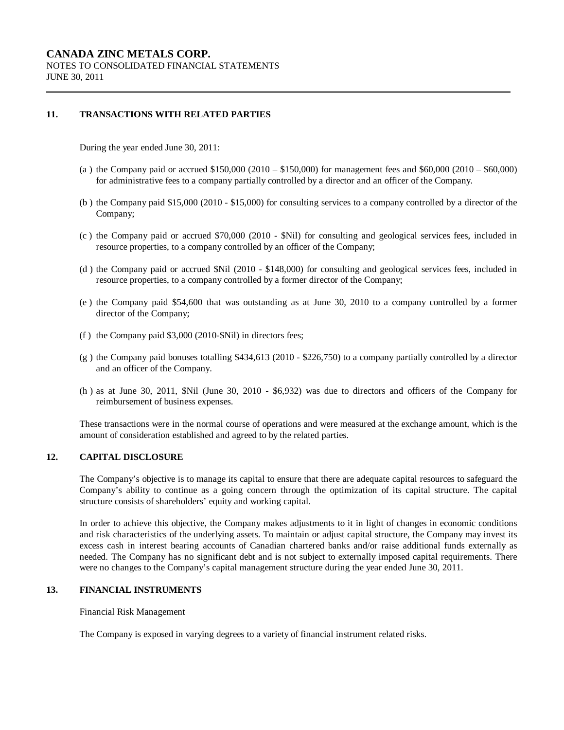#### **11. TRANSACTIONS WITH RELATED PARTIES**

During the year ended June 30, 2011:

- (a ) the Company paid or accrued \$150,000 (2010 \$150,000) for management fees and \$60,000 (2010 \$60,000) for administrative fees to a company partially controlled by a director and an officer of the Company.
- (b ) the Company paid \$15,000 (2010 \$15,000) for consulting services to a company controlled by a director of the Company;
- (c ) the Company paid or accrued \$70,000 (2010 \$Nil) for consulting and geological services fees, included in resource properties, to a company controlled by an officer of the Company;
- (d ) the Company paid or accrued \$Nil (2010 \$148,000) for consulting and geological services fees, included in resource properties, to a company controlled by a former director of the Company;
- (e ) the Company paid \$54,600 that was outstanding as at June 30, 2010 to a company controlled by a former director of the Company;
- (f ) the Company paid \$3,000 (2010-\$Nil) in directors fees;
- (g ) the Company paid bonuses totalling \$434,613 (2010 \$226,750) to a company partially controlled by a director and an officer of the Company.
- (h ) as at June 30, 2011, \$Nil (June 30, 2010 \$6,932) was due to directors and officers of the Company for reimbursement of business expenses.

These transactions were in the normal course of operations and were measured at the exchange amount, which is the amount of consideration established and agreed to by the related parties.

#### **12. CAPITAL DISCLOSURE**

The Company's objective is to manage its capital to ensure that there are adequate capital resources to safeguard the Company's ability to continue as a going concern through the optimization of its capital structure. The capital structure consists of shareholders' equity and working capital.

In order to achieve this objective, the Company makes adjustments to it in light of changes in economic conditions and risk characteristics of the underlying assets. To maintain or adjust capital structure, the Company may invest its excess cash in interest bearing accounts of Canadian chartered banks and/or raise additional funds externally as needed. The Company has no significant debt and is not subject to externally imposed capital requirements. There were no changes to the Company's capital management structure during the year ended June 30, 2011.

#### **13. FINANCIAL INSTRUMENTS**

Financial Risk Management

The Company is exposed in varying degrees to a variety of financial instrument related risks.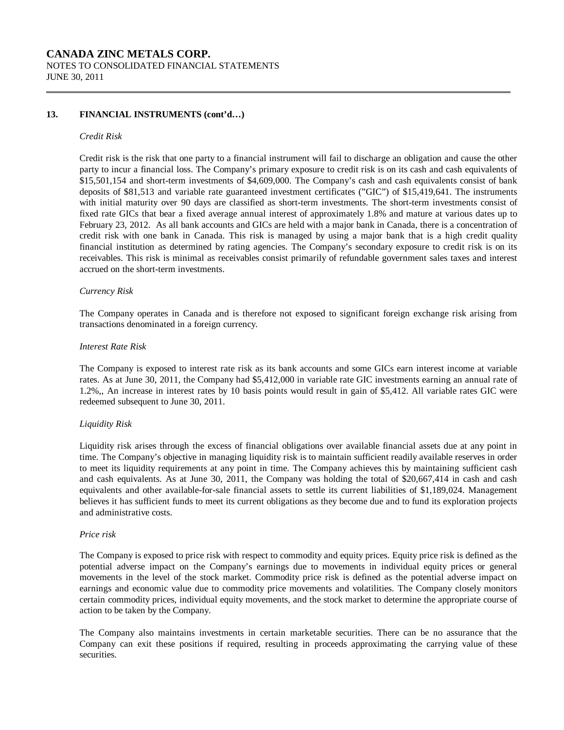#### **CANADA ZINC METALS CORP.**  NOTES TO CONSOLIDATED FINANCIAL STATEMENTS

JUNE 30, 2011

#### **13. FINANCIAL INSTRUMENTS (cont'd…)**

#### *Credit Risk*

Credit risk is the risk that one party to a financial instrument will fail to discharge an obligation and cause the other party to incur a financial loss. The Company's primary exposure to credit risk is on its cash and cash equivalents of \$15,501,154 and short-term investments of \$4,609,000. The Company's cash and cash equivalents consist of bank deposits of \$81,513 and variable rate guaranteed investment certificates ("GIC") of \$15,419,641. The instruments with initial maturity over 90 days are classified as short-term investments. The short-term investments consist of fixed rate GICs that bear a fixed average annual interest of approximately 1.8% and mature at various dates up to February 23, 2012. As all bank accounts and GICs are held with a major bank in Canada, there is a concentration of credit risk with one bank in Canada. This risk is managed by using a major bank that is a high credit quality financial institution as determined by rating agencies. The Company's secondary exposure to credit risk is on its receivables. This risk is minimal as receivables consist primarily of refundable government sales taxes and interest accrued on the short-term investments.

#### *Currency Risk*

The Company operates in Canada and is therefore not exposed to significant foreign exchange risk arising from transactions denominated in a foreign currency.

#### *Interest Rate Risk*

The Company is exposed to interest rate risk as its bank accounts and some GICs earn interest income at variable rates. As at June 30, 2011, the Company had \$5,412,000 in variable rate GIC investments earning an annual rate of 1.2%,, An increase in interest rates by 10 basis points would result in gain of \$5,412. All variable rates GIC were redeemed subsequent to June 30, 2011.

#### *Liquidity Risk*

Liquidity risk arises through the excess of financial obligations over available financial assets due at any point in time. The Company's objective in managing liquidity risk is to maintain sufficient readily available reserves in order to meet its liquidity requirements at any point in time. The Company achieves this by maintaining sufficient cash and cash equivalents. As at June 30, 2011, the Company was holding the total of \$20,667,414 in cash and cash equivalents and other available-for-sale financial assets to settle its current liabilities of \$1,189,024. Management believes it has sufficient funds to meet its current obligations as they become due and to fund its exploration projects and administrative costs.

#### *Price risk*

The Company is exposed to price risk with respect to commodity and equity prices. Equity price risk is defined as the potential adverse impact on the Company's earnings due to movements in individual equity prices or general movements in the level of the stock market. Commodity price risk is defined as the potential adverse impact on earnings and economic value due to commodity price movements and volatilities. The Company closely monitors certain commodity prices, individual equity movements, and the stock market to determine the appropriate course of action to be taken by the Company.

The Company also maintains investments in certain marketable securities. There can be no assurance that the Company can exit these positions if required, resulting in proceeds approximating the carrying value of these securities.